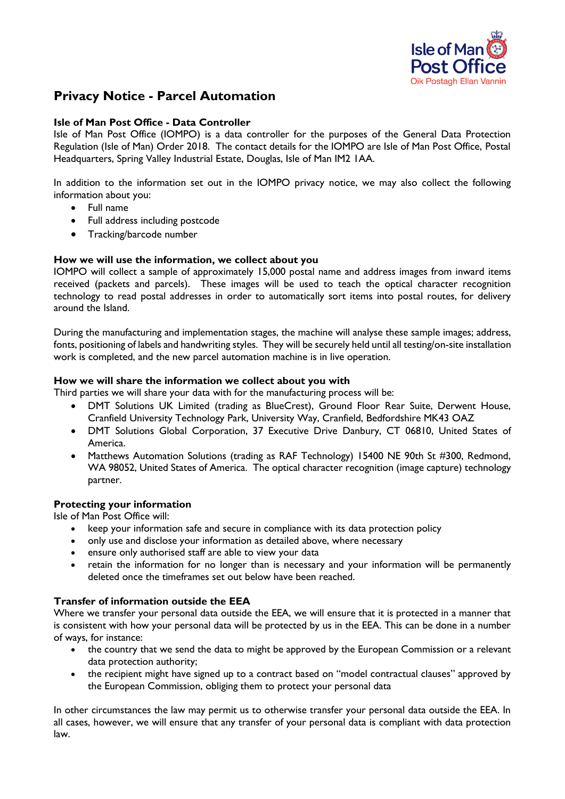

# **Privacy Notice - Parcel Automation**

### **Isle of Man Post Office - Data Controller**

Isle of Man Post Office (IOMPO) is a data controller for the purposes of the General Data Protection Regulation (Isle of Man) Order 2018. The contact details for the IOMPO are Isle of Man Post Office, Postal Headquarters, Spring Valley Industrial Estate, Douglas, Isle of Man IM2 1AA.

In addition to the information set out in the IOMPO privacy notice, we may also collect the following information about you:

- Full name
- Full address including postcode
- Tracking/barcode number

### **How we will use the information, we collect about you**

IOMPO will collect a sample of approximately 15,000 postal name and address images from inward items received (packets and parcels). These images will be used to teach the optical character recognition technology to read postal addresses in order to automatically sort items into postal routes, for delivery around the Island.

During the manufacturing and implementation stages, the machine will analyse these sample images; address, fonts, positioning of labels and handwriting styles. They will be securely held until all testing/on-site installation work is completed, and the new parcel automation machine is in live operation.

### **How we will share the information we collect about you with**

Third parties we will share your data with for the manufacturing process will be:

- DMT Solutions UK Limited (trading as BlueCrest), Ground Floor Rear Suite, Derwent House, Cranfield University Technology Park, University Way, Cranfield, Bedfordshire MK43 OAZ
- DMT Solutions Global Corporation, 37 Executive Drive Danbury, CT 06810, United States of America.
- Matthews Automation Solutions (trading as RAF Technology) 15400 NE 90th St #300, Redmond, WA 98052, United States of America. The optical character recognition (image capture) technology partner.

### **Protecting your information**

Isle of Man Post Office will:

- keep your information safe and secure in compliance with its data protection policy
- only use and disclose your information as detailed above, where necessary
- ensure only authorised staff are able to view your data
- retain the information for no longer than is necessary and your information will be permanently deleted once the timeframes set out below have been reached.

### **Transfer of information outside the EEA**

Where we transfer your personal data outside the EEA, we will ensure that it is protected in a manner that is consistent with how your personal data will be protected by us in the EEA. This can be done in a number of ways, for instance:

- the country that we send the data to might be approved by the European Commission or a relevant data protection authority;
- the recipient might have signed up to a contract based on "model contractual clauses" approved by the European Commission, obliging them to protect your personal data

In other circumstances the law may permit us to otherwise transfer your personal data outside the EEA. In all cases, however, we will ensure that any transfer of your personal data is compliant with data protection law.